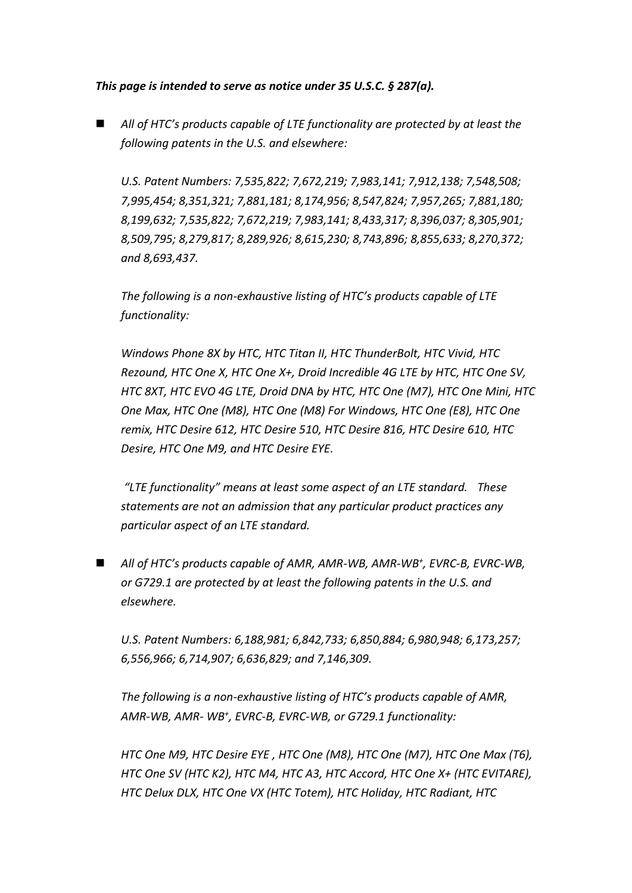## *This page is intended to serve as notice under 35 U.S.C. § 287(a).*

 *All of HTC's products capable of LTE functionality are protected by at least the following patents in the U.S. and elsewhere:*

*U.S. Patent Numbers: 7,535,822; 7,672,219; 7,983,141; 7,912,138; 7,548,508; 7,995,454; 8,351,321; 7,881,181; 8,174,956; 8,547,824; 7,957,265; 7,881,180; 8,199,632; 7,535,822; 7,672,219; 7,983,141; 8,433,317; 8,396,037; 8,305,901; 8,509,795; 8,279,817; 8,289,926; 8,615,230; 8,743,896; 8,855,633; 8,270,372; and 8,693,437.*

*The following is a non-exhaustive listing of HTC's products capable of LTE functionality:* 

*Windows Phone 8X by HTC, HTC Titan II, HTC ThunderBolt, HTC Vivid, HTC Rezound, HTC One X, HTC One X+, Droid Incredible 4G LTE by HTC, HTC One SV, HTC 8XT, HTC EVO 4G LTE, Droid DNA by HTC, HTC One (M7), HTC One Mini, HTC One Max, HTC One (M8), HTC One (M8) For Windows, HTC One (E8), HTC One remix, HTC Desire 612, HTC Desire 510, HTC Desire 816, HTC Desire 610, HTC Desire, HTC One M9, and HTC Desire EYE.*

*"LTE functionality" means at least some aspect of an LTE standard. These statements are not an admission that any particular product practices any particular aspect of an LTE standard.*

■ *All of HTC*<sup>'</sup>*s* products capable of AMR, AMR-WB, AMR-WB<sup>+</sup>, EVRC-B, EVRC-WB, *or G729.1 are protected by at least the following patents in the U.S. and elsewhere.*

*U.S. Patent Numbers: 6,188,981; 6,842,733; 6,850,884; 6,980,948; 6,173,257; 6,556,966; 6,714,907; 6,636,829; and 7,146,309.*

*The following is a non-exhaustive listing of HTC's products capable of AMR, AMR-WB, AMR- WB<sup>+</sup> , EVRC-B, EVRC-WB, or G729.1 functionality:*

*HTC One M9, HTC Desire EYE , HTC One (M8), HTC One (M7), HTC One Max (T6), HTC One SV (HTC K2), HTC M4, HTC A3, HTC Accord, HTC One X+ (HTC EVITARE), HTC Delux DLX, HTC One VX (HTC Totem), HTC Holiday, HTC Radiant, HTC*